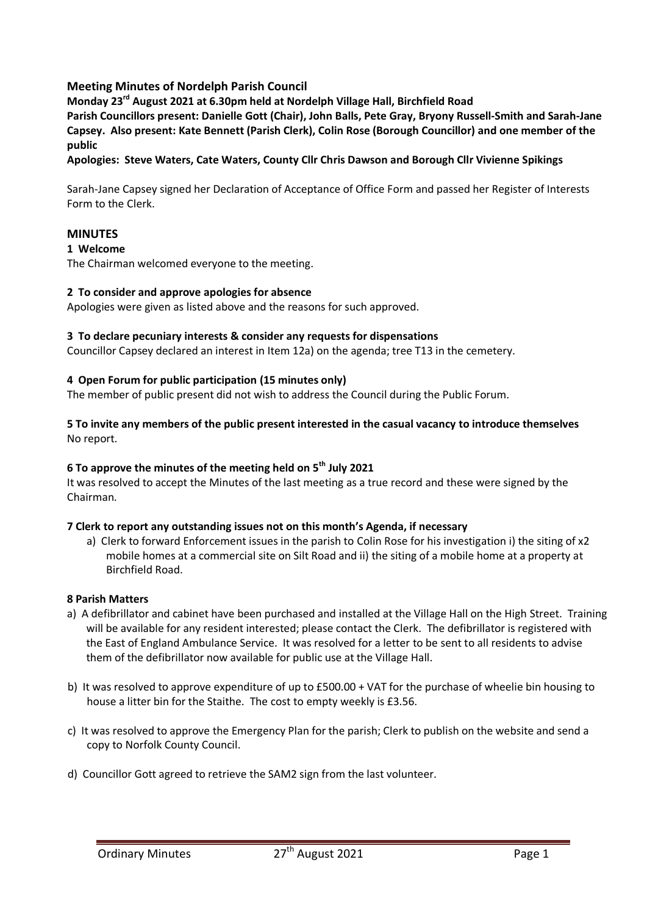# **Meeting Minutes of Nordelph Parish Council**

**Monday 23rd August 2021 at 6.30pm held at Nordelph Village Hall, Birchfield Road**

**Parish Councillors present: Danielle Gott (Chair), John Balls, Pete Gray, Bryony Russell-Smith and Sarah-Jane Capsey. Also present: Kate Bennett (Parish Clerk), Colin Rose (Borough Councillor) and one member of the public**

**Apologies: Steve Waters, Cate Waters, County Cllr Chris Dawson and Borough Cllr Vivienne Spikings**

Sarah-Jane Capsey signed her Declaration of Acceptance of Office Form and passed her Register of Interests Form to the Clerk.

# **MINUTES**

### **1 Welcome**

The Chairman welcomed everyone to the meeting.

### **2 To consider and approve apologies for absence**

Apologies were given as listed above and the reasons for such approved.

### **3 To declare pecuniary interests & consider any requests for dispensations**

Councillor Capsey declared an interest in Item 12a) on the agenda; tree T13 in the cemetery.

### **4 Open Forum for public participation (15 minutes only)**

The member of public present did not wish to address the Council during the Public Forum.

### **5 To invite any members of the public present interested in the casual vacancy to introduce themselves** No report.

# **6 To approve the minutes of the meeting held on 5th July 2021**

It was resolved to accept the Minutes of the last meeting as a true record and these were signed by the Chairman.

# **7 Clerk to report any outstanding issues not on this month's Agenda, if necessary**

a) Clerk to forward Enforcement issues in the parish to Colin Rose for his investigation i) the siting of x2 mobile homes at a commercial site on Silt Road and ii) the siting of a mobile home at a property at Birchfield Road.

#### **8 Parish Matters**

- a) A defibrillator and cabinet have been purchased and installed at the Village Hall on the High Street. Training will be available for any resident interested; please contact the Clerk. The defibrillator is registered with the East of England Ambulance Service. It was resolved for a letter to be sent to all residents to advise them of the defibrillator now available for public use at the Village Hall.
- b) It was resolved to approve expenditure of up to £500.00 + VAT for the purchase of wheelie bin housing to house a litter bin for the Staithe. The cost to empty weekly is £3.56.
- c) It was resolved to approve the Emergency Plan for the parish; Clerk to publish on the website and send a copy to Norfolk County Council.
- d) Councillor Gott agreed to retrieve the SAM2 sign from the last volunteer.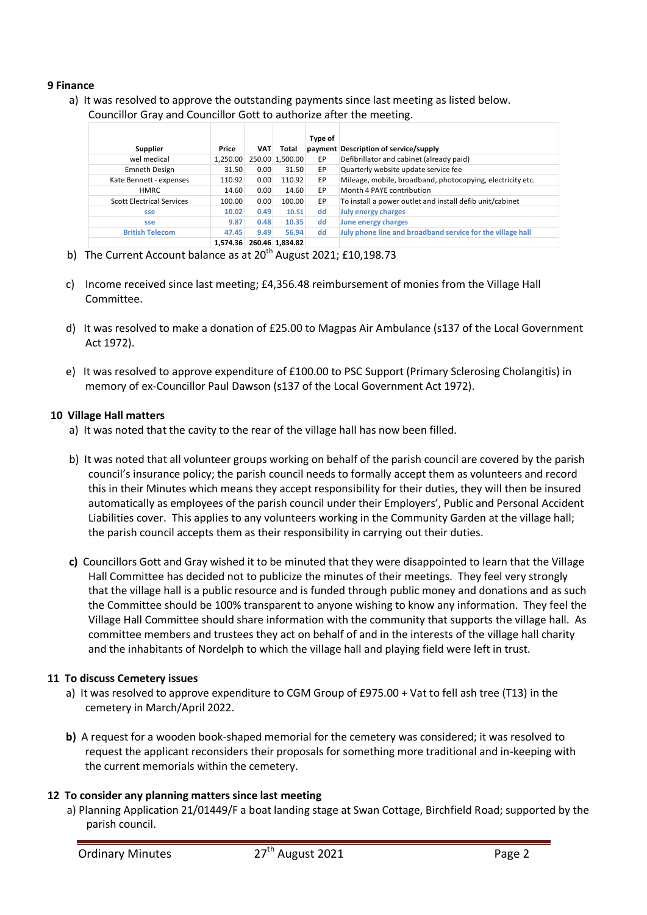### **9 Finance**

a) It was resolved to approve the outstanding payments since last meeting as listed below. Councillor Gray and Councillor Gott to authorize after the meeting.

|                                  |          |            |                 | Type of |                                                            |
|----------------------------------|----------|------------|-----------------|---------|------------------------------------------------------------|
| Supplier                         | Price    | <b>VAT</b> | Total           |         | payment Description of service/supply                      |
| wel medical                      | 1,250.00 |            | 250.00 1,500.00 | EP      | Defibrillator and cabinet (already paid)                   |
| Emneth Design                    | 31.50    | 0.00       | 31.50           | EP      | Quarterly website update service fee                       |
| Kate Bennett - expenses          | 110.92   | 0.00       | 110.92          | EP      | Mileage, mobile, broadband, photocopying, electricity etc. |
| <b>HMRC</b>                      | 14.60    | 0.00       | 14.60           | EP      | Month 4 PAYE contribution                                  |
| <b>Scott Electrical Services</b> | 100.00   | 0.00       | 100.00          | EP      | To install a power outlet and install defib unit/cabinet   |
| sse                              | 10.02    | 0.49       | 10.51           | dd      | <b>July energy charges</b>                                 |
| sse                              | 9.87     | 0.48       | 10.35           | dd      | June energy charges                                        |
| <b>British Telecom</b>           | 47.45    | 9.49       | 56.94           | dd      | July phone line and broadband service for the village hall |
|                                  | 1.574.36 |            | 260.46 1.834.82 |         |                                                            |

- b) The Current Account balance as at  $20<sup>th</sup>$  August 2021; £10,198.73
- c) Income received since last meeting; £4,356.48 reimbursement of monies from the Village Hall Committee.
- d) It was resolved to make a donation of £25.00 to Magpas Air Ambulance (s137 of the Local Government Act 1972).
- e) It was resolved to approve expenditure of £100.00 to PSC Support (Primary Sclerosing Cholangitis) in memory of ex-Councillor Paul Dawson (s137 of the Local Government Act 1972).

### **10 Village Hall matters**

- a) It was noted that the cavity to the rear of the village hall has now been filled.
- b) It was noted that all volunteer groups working on behalf of the parish council are covered by the parish council's insurance policy; the parish council needs to formally accept them as volunteers and record this in their Minutes which means they accept responsibility for their duties, they will then be insured automatically as employees of the parish council under their Employers', Public and Personal Accident Liabilities cover. This applies to any volunteers working in the Community Garden at the village hall; the parish council accepts them as their responsibility in carrying out their duties.
- **c)** Councillors Gott and Gray wished it to be minuted that they were disappointed to learn that the Village Hall Committee has decided not to publicize the minutes of their meetings. They feel very strongly that the village hall is a public resource and is funded through public money and donations and as such the Committee should be 100% transparent to anyone wishing to know any information. They feel the Village Hall Committee should share information with the community that supports the village hall. As committee members and trustees they act on behalf of and in the interests of the village hall charity and the inhabitants of Nordelph to which the village hall and playing field were left in trust.

# **11 To discuss Cemetery issues**

- a) It was resolved to approve expenditure to CGM Group of £975.00 + Vat to fell ash tree (T13) in the cemetery in March/April 2022.
- **b)** A request for a wooden book-shaped memorial for the cemetery was considered; it was resolved to request the applicant reconsiders their proposals for something more traditional and in-keeping with the current memorials within the cemetery.

# **12 To consider any planning matters since last meeting**

a) Planning Application 21/01449/F a boat landing stage at Swan Cottage, Birchfield Road; supported by the parish council.